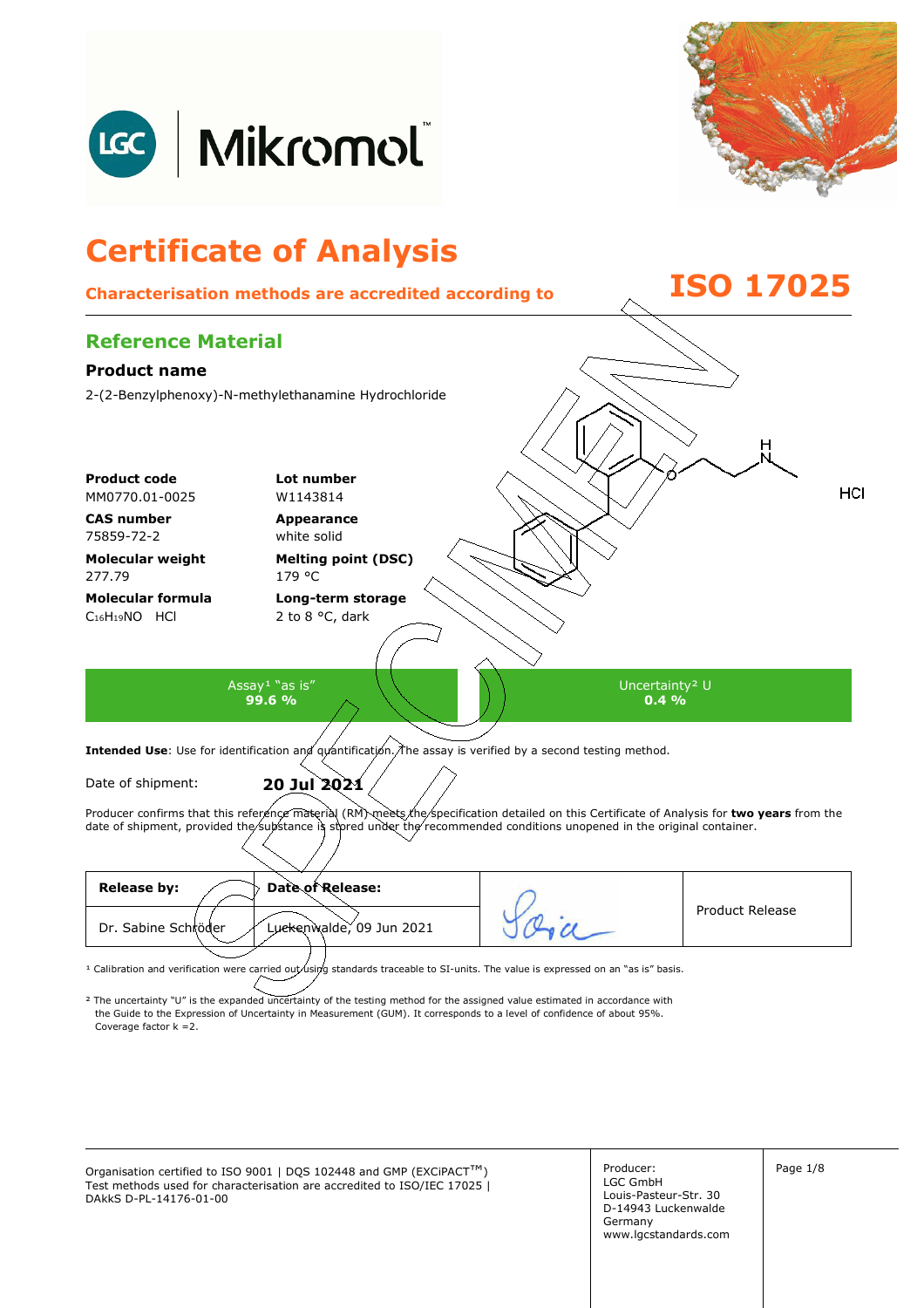



## **Certificate of Analysis Characterisation methods are accredited according to ISO 17025 Reference Material Product name**  2-(2-Benzylphenoxy)-N-methylethanamine Hydrochloride **Product code Lot number** HCI MM0770.01-0025 W1143814 **CAS number Appearance**  75859-72-2 white solid **Molecular weight Melting point (DSC)**  277.79 179 °C **Molecular formula Long-term storage**  C16H19NO HCl 2 to 8 °C, dark Assay<sup>1</sup> "as is" Uncertainty² U **99.6 % 0.4 %**  Intended Use: Use for identification and quantification. The assay is verified by a second testing method. Date of shipment: **20 Jul 2021**  Producer confirms that this reference material (RM) meets the specification detailed on this Certificate of Analysis for two years from the date of shipment, provided the substance is stored under the recommended conditions unopened in the original container.

| <b>Release by:</b><br>Date of Release:          |                        |
|-------------------------------------------------|------------------------|
| Dr. Sabine Schröder<br>Luckenwalde, 09 Jun 2021 | <b>Product Release</b> |
|                                                 |                        |

<sup>1</sup> Calibration and verification were carried out using standards traceable to SI-units. The value is expressed on an "as is" basis.

² The uncertainty "U" is the expanded uncertainty of the testing method for the assigned value estimated in accordance with Coverage factor k =2. the Guide to the Expression of Uncertainty in Measurement (GUM). It corresponds to a level of confidence of about 95%.

Organisation certified to ISO 9001 | DQS 102448 and GMP (EXCiPACT<sup>™</sup>) Producer: Page 1/8 Test methods used for characterisation are accredited to ISO/IEC 17025 | DAkkS D-PL-14176-01-00

Producer: LGC GmbH Louis-Pasteur-Str. 30 D-14943 Luckenwalde Germany www.lgcstandards.com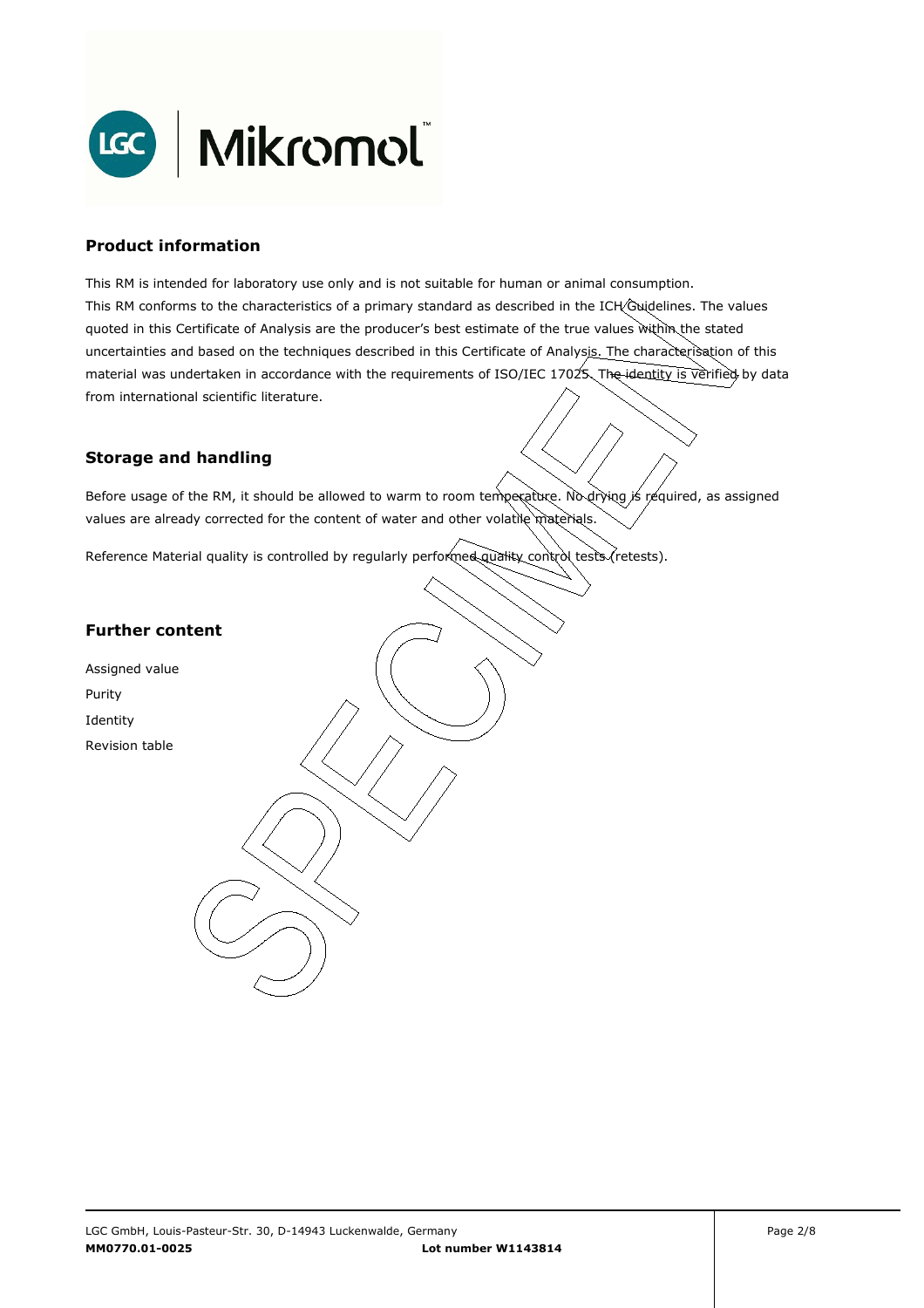

### **Product information**

This RM is intended for laboratory use only and is not suitable for human or animal consumption. This RM conforms to the characteristics of a primary standard as described in the ICH Guidelines. The values quoted in this Certificate of Analysis are the producer's best estimate of the true values within the stated uncertainties and based on the techniques described in this Certificate of Analysis. The characterisation of this material was undertaken in accordance with the requirements of ISO/IEC 17025. The identity is verified by data from international scientific literature.

## **Storage and handling**

Before usage of the RM, it should be allowed to warm to room temperature. No drying is required, as assigned values are already corrected for the content of water and other volatile materials.

Reference Material quality is controlled by regularly performed quality control tests (retests).

### **Further content**

Assigned value Purity Identity Revision table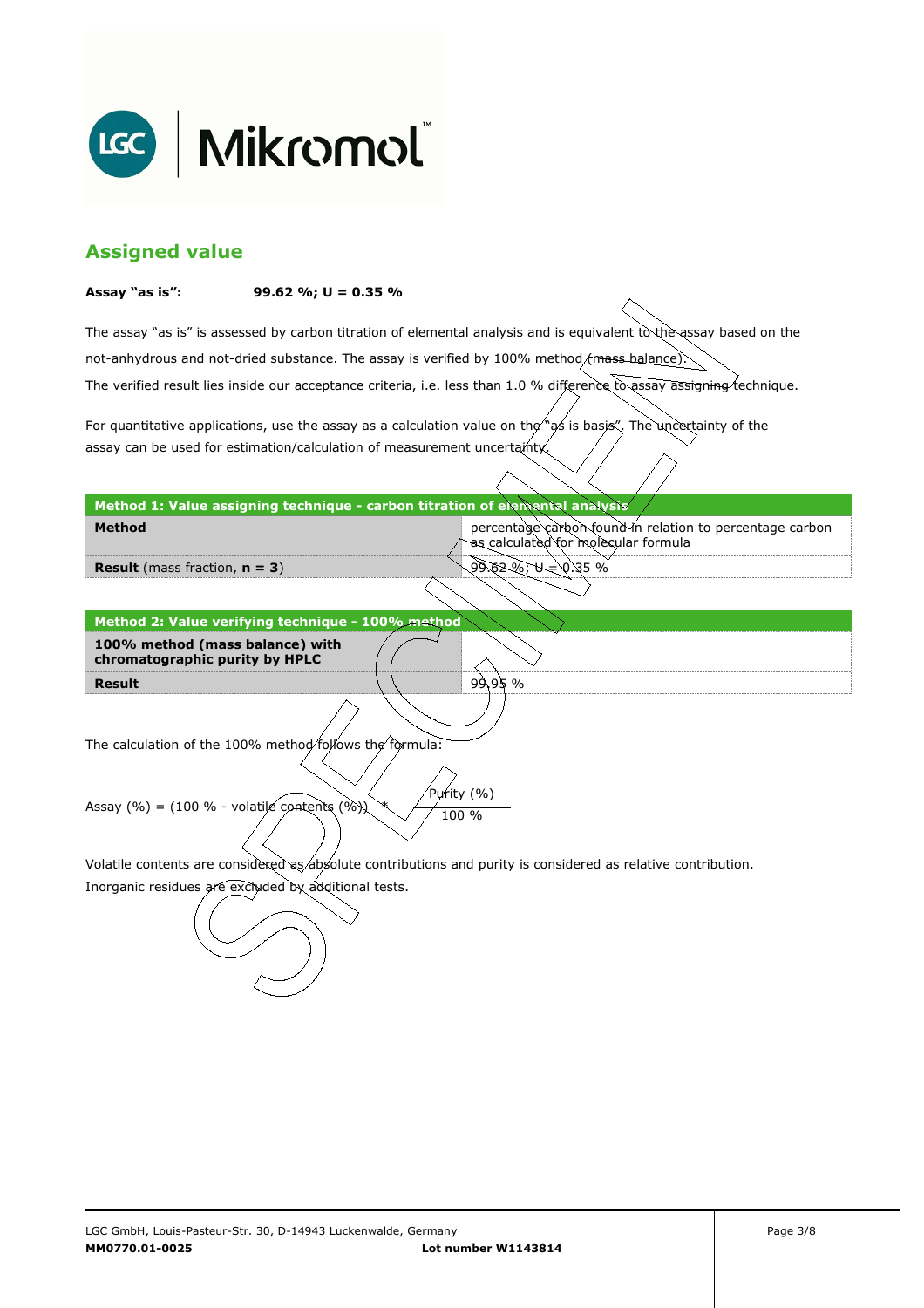

## **Assigned value**

#### **Assay "as is": 99.62 %; U = 0.35 %**

The assay "as is" is assessed by carbon titration of elemental analysis and is equivalent to the assay based on the The verified result lies inside our acceptance criteria, i.e. less than 1.0 % difference to assay assigning technique. not-anhydrous and not-dried substance. The assay is verified by 100% method/mass-balance)

For quantitative applications, use the assay as a calculation value on the  $\gamma$  as is basis". The uncertainty of the assay can be used for estimation/calculation of measurement uncertainty.

#### **Method 1: Value assigning technique - carbon titration of elemental analysis**

percentage carbon found in relation to percentage carbon as calculated for molecular formula

99.62 %; U = 0.35 %

99.95 %

**Result** (mass fraction, **n = 3**)

**Method** 

**Result Method 2: Value verifying technique - 100% method 100% method (mass balance) with chromatographic purity by HPLC** 

The calculation of the 100% method follows the formula:

Purity (%) Assay (%) = (100 % - volatile contents (%)  $\chi$  / 100 %

Volatile contents are considered as absolute contributions and purity is considered as relative contribution.

Inorganic residues are excluded by additional tests.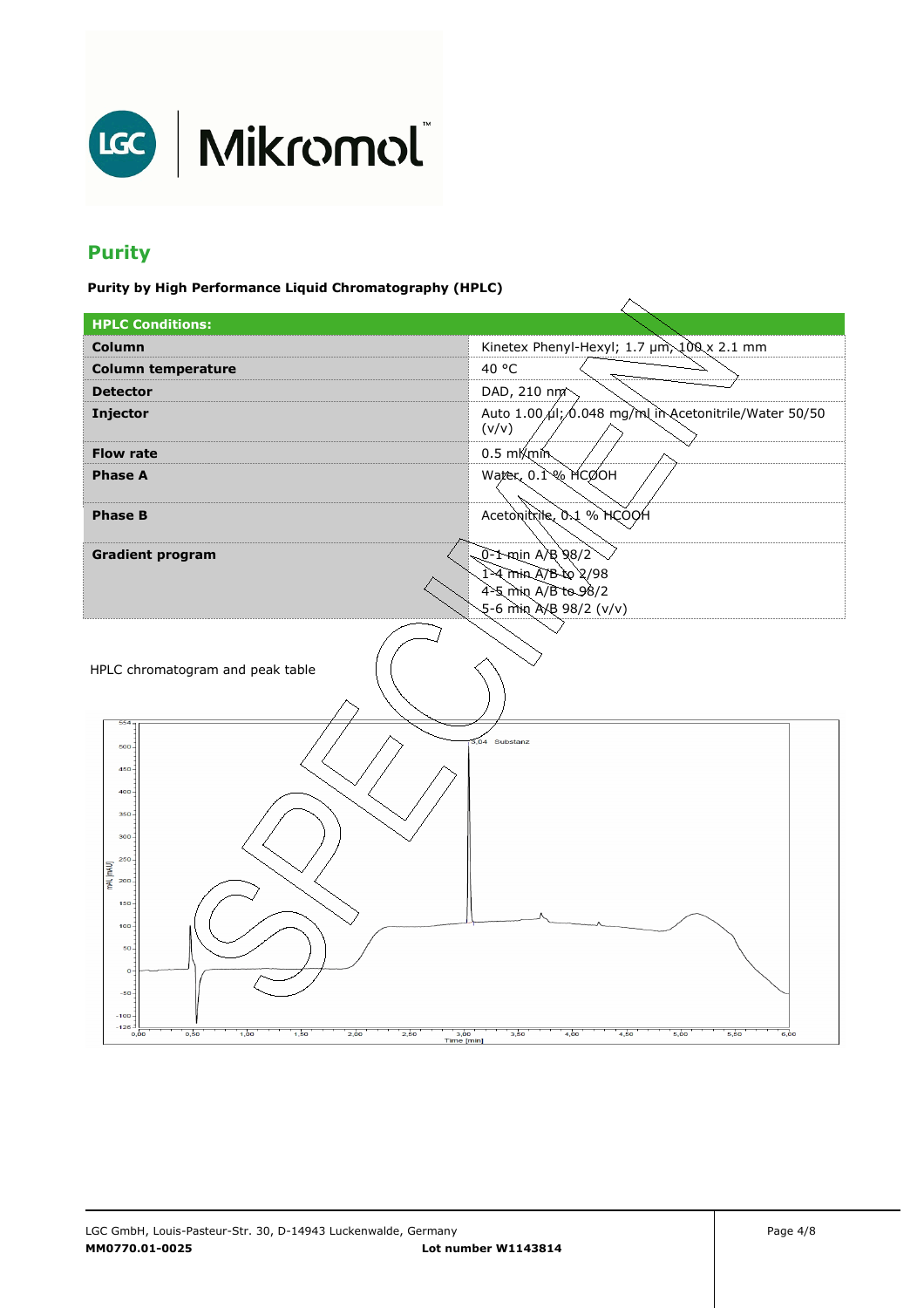

# **Purity**

**Purity by High Performance Liquid Chromatography (HPLC)** 

| <b>HPLC Conditions:</b>                                                                                                                                                                                                |                                                                 |  |  |
|------------------------------------------------------------------------------------------------------------------------------------------------------------------------------------------------------------------------|-----------------------------------------------------------------|--|--|
| <b>Column</b>                                                                                                                                                                                                          | Kinetex Phenyl-Hexyl; 1.7 µm, 100 x 2.1 mm                      |  |  |
| <b>Column temperature</b>                                                                                                                                                                                              | 40 °C                                                           |  |  |
| <b>Detector</b>                                                                                                                                                                                                        | DAD, 210 nm                                                     |  |  |
| Injector                                                                                                                                                                                                               | Auto 1.00 /ul; 6.048 mg/ml in Acetonitrile/Water 50/50<br>(v/v) |  |  |
| <b>Flow rate</b>                                                                                                                                                                                                       | $0.5 \text{ mK}$ min                                            |  |  |
| <b>Phase A</b>                                                                                                                                                                                                         | Water, 0.1% MCOOH                                               |  |  |
| <b>Phase B</b>                                                                                                                                                                                                         | Acetonitrile, 0.1 % HCOOH                                       |  |  |
| <b>Gradient program</b>                                                                                                                                                                                                | 0-1-min A/B 98/2                                                |  |  |
|                                                                                                                                                                                                                        | 1-4 min A/B to 2/98                                             |  |  |
|                                                                                                                                                                                                                        | 4-5 min A/B to 98/2<br>5-6 min A/B 98/2 (v/v)                   |  |  |
|                                                                                                                                                                                                                        |                                                                 |  |  |
| HPLC chromatogram and peak table<br>554                                                                                                                                                                                |                                                                 |  |  |
| 500<br>$450 -$<br>400<br>350<br>300<br>250<br>mAU [mAU]<br>200<br>$150 -$<br>$100 -$<br>$50 -$<br>$\bullet$<br>$-50-$<br>$-100$<br>$-126$<br>1,00<br>3,00<br>0,50<br>1,50<br>2,50<br>0,00<br>2,00<br><b>Time [min]</b> | 3,04 Substanz<br>3,50<br>4,00<br>4,50<br>5,00<br>5,50<br>6,00   |  |  |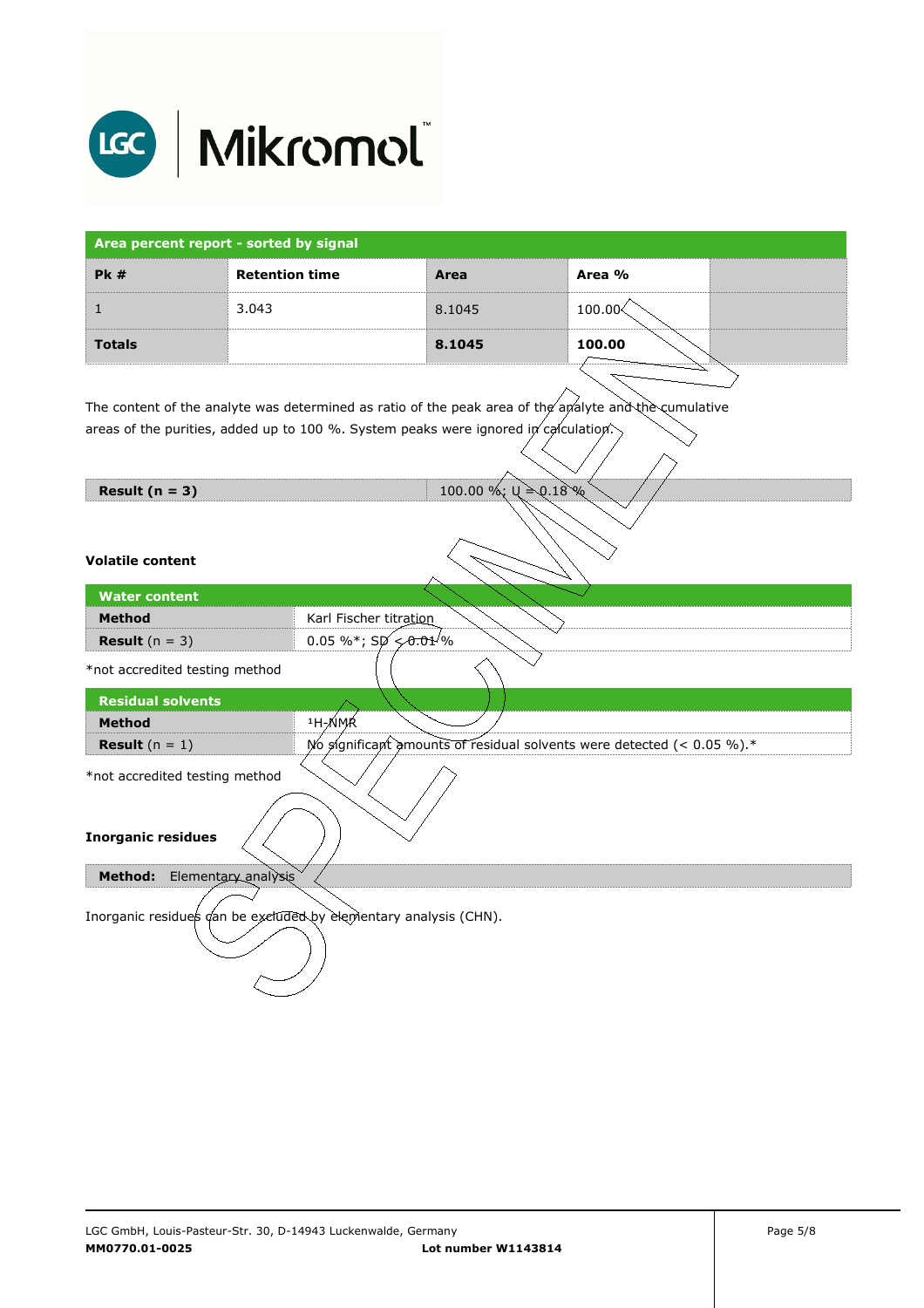

| Area percent report - sorted by signal |                       |        |        |  |
|----------------------------------------|-----------------------|--------|--------|--|
| PK#                                    | <b>Retention time</b> | Area   | Area % |  |
|                                        | 3.043                 | 8.1045 | 100.00 |  |
| <b>Totals</b>                          |                       | 8.1045 | 100.00 |  |

The content of the analyte was determined as ratio of the peak area of the analyte and the cumulative areas of the purities, added up to 100 %. System peaks were ignored in calculation.

**Result (n = 3)**  $100.00 \%; \cup \ge 0.18 \%$ 

#### **Volatile content**

| <b>Water content</b>                                             |                                                                           |  |  |  |
|------------------------------------------------------------------|---------------------------------------------------------------------------|--|--|--|
| <b>Method</b>                                                    | Karl Fischer titration                                                    |  |  |  |
| <b>Result</b> $(n = 3)$                                          | 0.05 %*; $Sp \leq 0.01$ %                                                 |  |  |  |
| *not accredited testing method                                   |                                                                           |  |  |  |
| <b>Residual solvents</b>                                         |                                                                           |  |  |  |
| <b>Method</b>                                                    | <sup>1</sup> H-NMR                                                        |  |  |  |
| <b>Result</b> $(n = 1)$                                          | No significant amounts of residual solvents were detected (< $0.05\%$ ).* |  |  |  |
| *not accredited testing method                                   |                                                                           |  |  |  |
| <b>Inorganic residues</b>                                        |                                                                           |  |  |  |
| Elementary analysis<br>Method:                                   |                                                                           |  |  |  |
| Inorganic residues dan be excluded by elementary analysis (CHN). |                                                                           |  |  |  |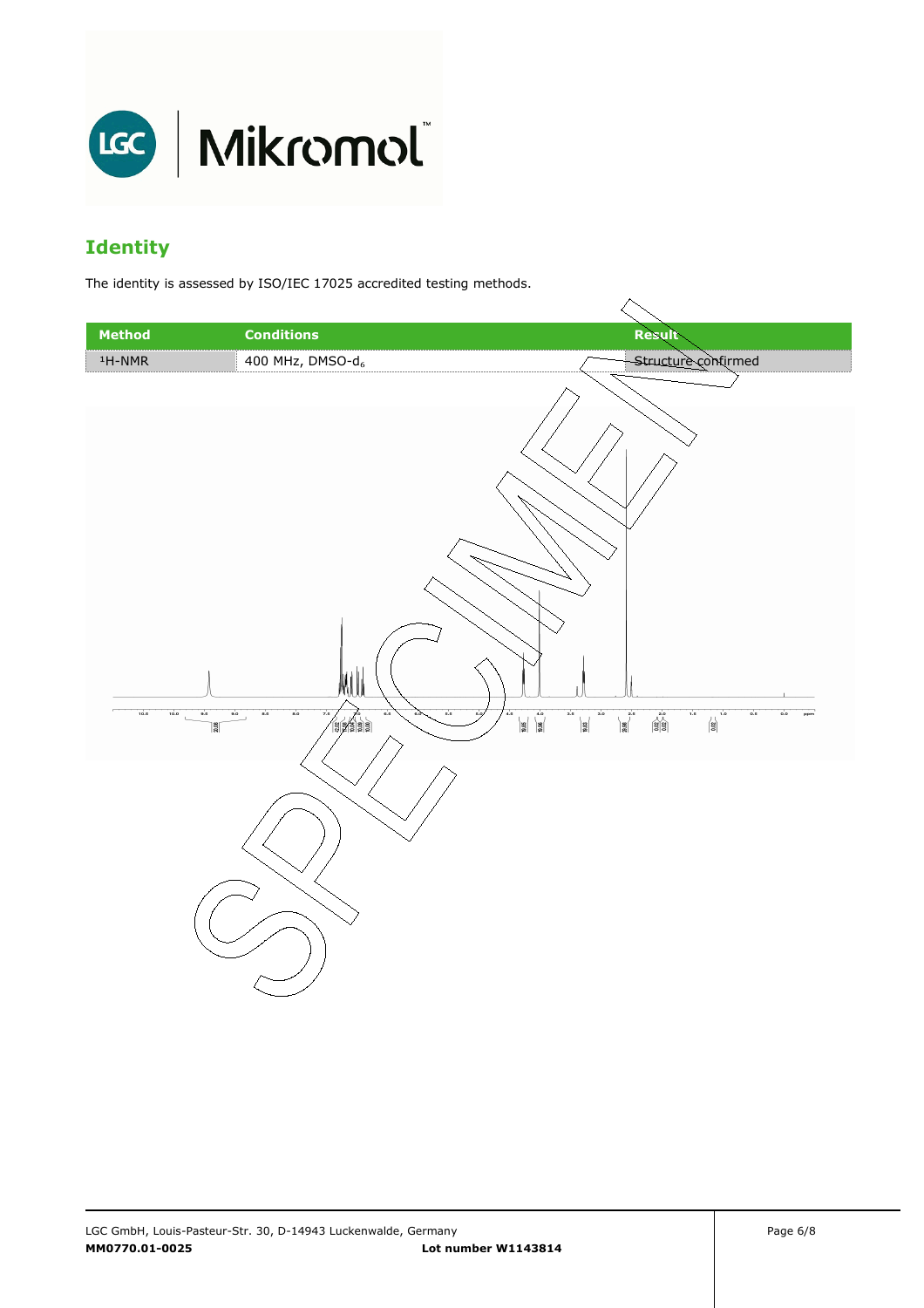

# **Identity**

The identity is assessed by ISO/IEC 17025 accredited testing methods.

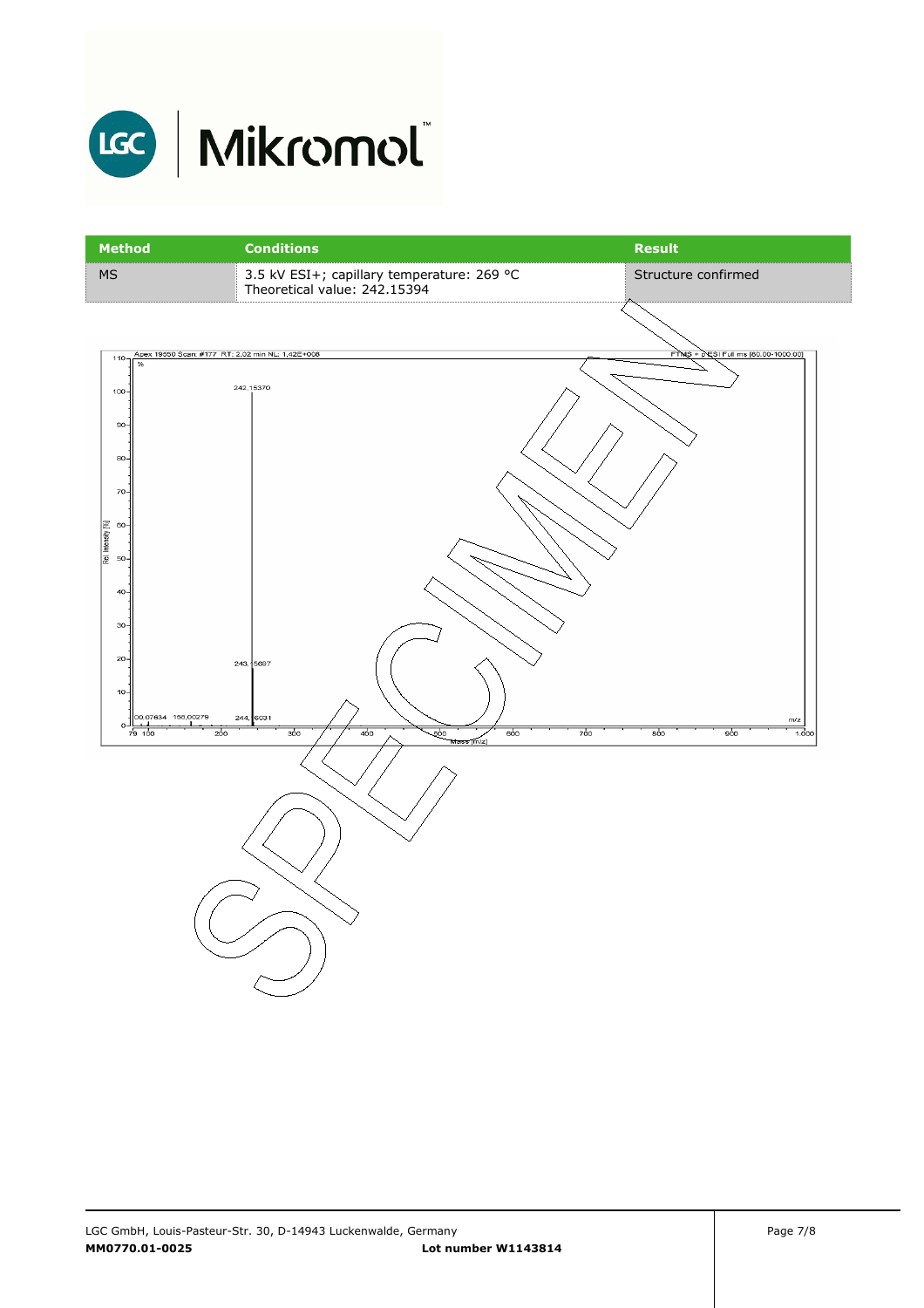